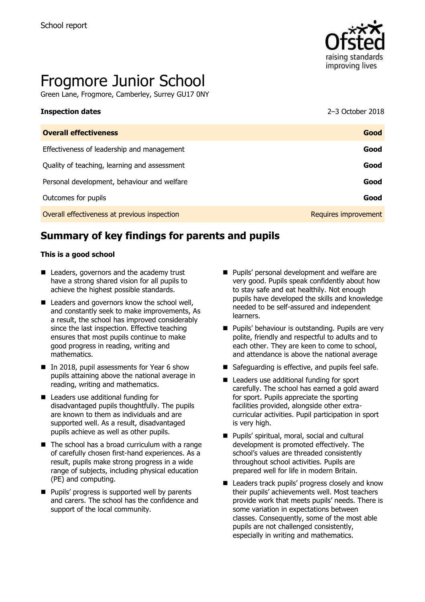

# Frogmore Junior School

Green Lane, Frogmore, Camberley, Surrey GU17 0NY

# **Inspection dates** 2–3 October 2018

| <b>Overall effectiveness</b>                 | Good                 |
|----------------------------------------------|----------------------|
| Effectiveness of leadership and management   | Good                 |
| Quality of teaching, learning and assessment | Good                 |
| Personal development, behaviour and welfare  | Good                 |
| Outcomes for pupils                          | Good                 |
| Overall effectiveness at previous inspection | Requires improvement |

# **Summary of key findings for parents and pupils**

#### **This is a good school**

- Leaders, governors and the academy trust have a strong shared vision for all pupils to achieve the highest possible standards.
- Leaders and governors know the school well, and constantly seek to make improvements, As a result, the school has improved considerably since the last inspection. Effective teaching ensures that most pupils continue to make good progress in reading, writing and mathematics.
- In 2018, pupil assessments for Year 6 show pupils attaining above the national average in reading, writing and mathematics.
- Leaders use additional funding for disadvantaged pupils thoughtfully. The pupils are known to them as individuals and are supported well. As a result, disadvantaged pupils achieve as well as other pupils.
- $\blacksquare$  The school has a broad curriculum with a range of carefully chosen first-hand experiences. As a result, pupils make strong progress in a wide range of subjects, including physical education (PE) and computing.
- **Pupils' progress is supported well by parents** and carers. The school has the confidence and support of the local community.
- **Pupils' personal development and welfare are** very good. Pupils speak confidently about how to stay safe and eat healthily. Not enough pupils have developed the skills and knowledge needed to be self-assured and independent learners.
- **Pupils' behaviour is outstanding. Pupils are very** polite, friendly and respectful to adults and to each other. They are keen to come to school, and attendance is above the national average
- Safeguarding is effective, and pupils feel safe.
- Leaders use additional funding for sport carefully. The school has earned a gold award for sport. Pupils appreciate the sporting facilities provided, alongside other extracurricular activities. Pupil participation in sport is very high.
- **Pupils' spiritual, moral, social and cultural** development is promoted effectively. The school's values are threaded consistently throughout school activities. Pupils are prepared well for life in modern Britain.
- Leaders track pupils' progress closely and know their pupils' achievements well. Most teachers provide work that meets pupils' needs. There is some variation in expectations between classes. Consequently, some of the most able pupils are not challenged consistently, especially in writing and mathematics.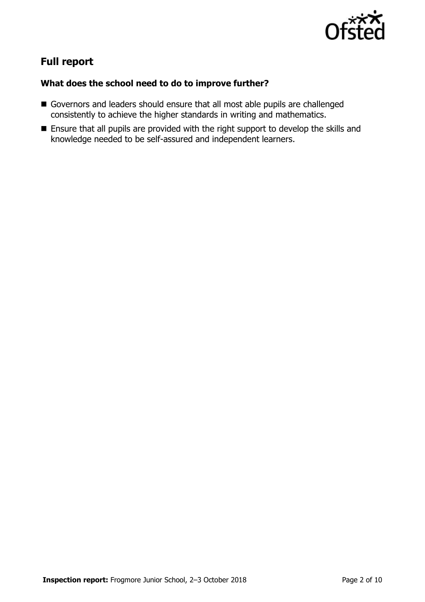

# **Full report**

#### **What does the school need to do to improve further?**

- Governors and leaders should ensure that all most able pupils are challenged consistently to achieve the higher standards in writing and mathematics.
- **Ensure that all pupils are provided with the right support to develop the skills and** knowledge needed to be self-assured and independent learners.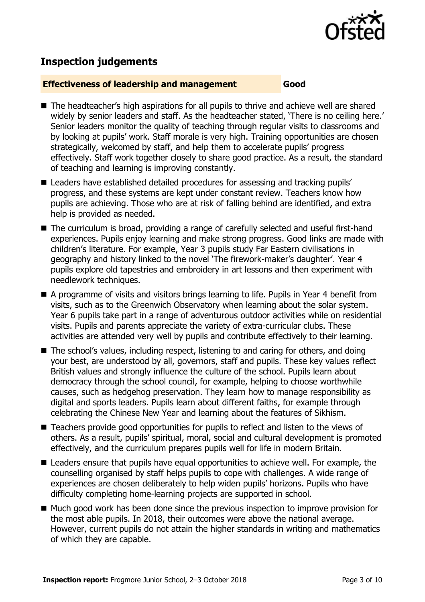

### **Inspection judgements**

#### **Effectiveness of leadership and management Good**

- The headteacher's high aspirations for all pupils to thrive and achieve well are shared widely by senior leaders and staff. As the headteacher stated, 'There is no ceiling here.' Senior leaders monitor the quality of teaching through regular visits to classrooms and by looking at pupils' work. Staff morale is very high. Training opportunities are chosen strategically, welcomed by staff, and help them to accelerate pupils' progress effectively. Staff work together closely to share good practice. As a result, the standard of teaching and learning is improving constantly.
- Leaders have established detailed procedures for assessing and tracking pupils' progress, and these systems are kept under constant review. Teachers know how pupils are achieving. Those who are at risk of falling behind are identified, and extra help is provided as needed.
- The curriculum is broad, providing a range of carefully selected and useful first-hand experiences. Pupils enjoy learning and make strong progress. Good links are made with children's literature. For example, Year 3 pupils study Far Eastern civilisations in geography and history linked to the novel 'The firework-maker's daughter'. Year 4 pupils explore old tapestries and embroidery in art lessons and then experiment with needlework techniques.
- A programme of visits and visitors brings learning to life. Pupils in Year 4 benefit from visits, such as to the Greenwich Observatory when learning about the solar system. Year 6 pupils take part in a range of adventurous outdoor activities while on residential visits. Pupils and parents appreciate the variety of extra-curricular clubs. These activities are attended very well by pupils and contribute effectively to their learning.
- The school's values, including respect, listening to and caring for others, and doing your best, are understood by all, governors, staff and pupils. These key values reflect British values and strongly influence the culture of the school. Pupils learn about democracy through the school council, for example, helping to choose worthwhile causes, such as hedgehog preservation. They learn how to manage responsibility as digital and sports leaders. Pupils learn about different faiths, for example through celebrating the Chinese New Year and learning about the features of Sikhism.
- Teachers provide good opportunities for pupils to reflect and listen to the views of others. As a result, pupils' spiritual, moral, social and cultural development is promoted effectively, and the curriculum prepares pupils well for life in modern Britain.
- Leaders ensure that pupils have equal opportunities to achieve well. For example, the counselling organised by staff helps pupils to cope with challenges. A wide range of experiences are chosen deliberately to help widen pupils' horizons. Pupils who have difficulty completing home-learning projects are supported in school.
- Much good work has been done since the previous inspection to improve provision for the most able pupils. In 2018, their outcomes were above the national average. However, current pupils do not attain the higher standards in writing and mathematics of which they are capable.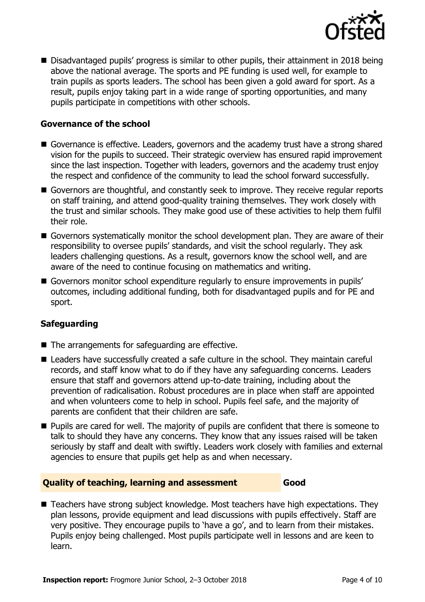

■ Disadvantaged pupils' progress is similar to other pupils, their attainment in 2018 being above the national average. The sports and PE funding is used well, for example to train pupils as sports leaders. The school has been given a gold award for sport. As a result, pupils enjoy taking part in a wide range of sporting opportunities, and many pupils participate in competitions with other schools.

#### **Governance of the school**

- Governance is effective. Leaders, governors and the academy trust have a strong shared vision for the pupils to succeed. Their strategic overview has ensured rapid improvement since the last inspection. Together with leaders, governors and the academy trust enjoy the respect and confidence of the community to lead the school forward successfully.
- Governors are thoughtful, and constantly seek to improve. They receive regular reports on staff training, and attend good-quality training themselves. They work closely with the trust and similar schools. They make good use of these activities to help them fulfil their role.
- Governors systematically monitor the school development plan. They are aware of their responsibility to oversee pupils' standards, and visit the school regularly. They ask leaders challenging questions. As a result, governors know the school well, and are aware of the need to continue focusing on mathematics and writing.
- Governors monitor school expenditure regularly to ensure improvements in pupils' outcomes, including additional funding, both for disadvantaged pupils and for PE and sport.

#### **Safeguarding**

- $\blacksquare$  The arrangements for safeguarding are effective.
- Leaders have successfully created a safe culture in the school. They maintain careful records, and staff know what to do if they have any safeguarding concerns. Leaders ensure that staff and governors attend up-to-date training, including about the prevention of radicalisation. Robust procedures are in place when staff are appointed and when volunteers come to help in school. Pupils feel safe, and the majority of parents are confident that their children are safe.
- **Pupils are cared for well. The majority of pupils are confident that there is someone to** talk to should they have any concerns. They know that any issues raised will be taken seriously by staff and dealt with swiftly. Leaders work closely with families and external agencies to ensure that pupils get help as and when necessary.

#### **Quality of teaching, learning and assessment Good**

■ Teachers have strong subject knowledge. Most teachers have high expectations. They plan lessons, provide equipment and lead discussions with pupils effectively. Staff are very positive. They encourage pupils to 'have a go', and to learn from their mistakes. Pupils enjoy being challenged. Most pupils participate well in lessons and are keen to learn.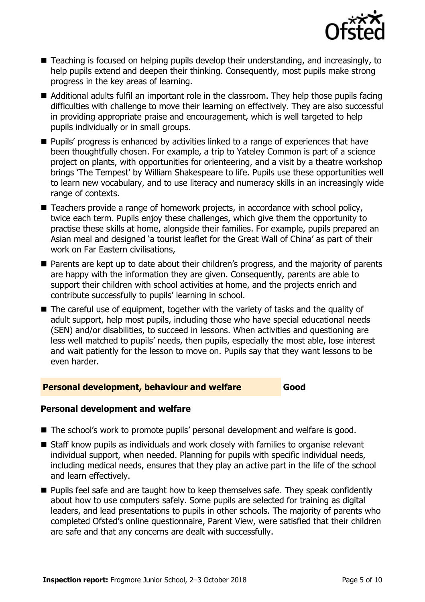

- Teaching is focused on helping pupils develop their understanding, and increasingly, to help pupils extend and deepen their thinking. Consequently, most pupils make strong progress in the key areas of learning.
- Additional adults fulfil an important role in the classroom. They help those pupils facing difficulties with challenge to move their learning on effectively. They are also successful in providing appropriate praise and encouragement, which is well targeted to help pupils individually or in small groups.
- **Pupils'** progress is enhanced by activities linked to a range of experiences that have been thoughtfully chosen. For example, a trip to Yateley Common is part of a science project on plants, with opportunities for orienteering, and a visit by a theatre workshop brings 'The Tempest' by William Shakespeare to life. Pupils use these opportunities well to learn new vocabulary, and to use literacy and numeracy skills in an increasingly wide range of contexts.
- Teachers provide a range of homework projects, in accordance with school policy, twice each term. Pupils enjoy these challenges, which give them the opportunity to practise these skills at home, alongside their families. For example, pupils prepared an Asian meal and designed 'a tourist leaflet for the Great Wall of China' as part of their work on Far Eastern civilisations,
- **Parents are kept up to date about their children's progress, and the majority of parents** are happy with the information they are given. Consequently, parents are able to support their children with school activities at home, and the projects enrich and contribute successfully to pupils' learning in school.
- The careful use of equipment, together with the variety of tasks and the quality of adult support, help most pupils, including those who have special educational needs (SEN) and/or disabilities, to succeed in lessons. When activities and questioning are less well matched to pupils' needs, then pupils, especially the most able, lose interest and wait patiently for the lesson to move on. Pupils say that they want lessons to be even harder.

#### **Personal development, behaviour and welfare Good**

#### **Personal development and welfare**

- The school's work to promote pupils' personal development and welfare is good.
- Staff know pupils as individuals and work closely with families to organise relevant individual support, when needed. Planning for pupils with specific individual needs, including medical needs, ensures that they play an active part in the life of the school and learn effectively.
- **Pupils feel safe and are taught how to keep themselves safe. They speak confidently** about how to use computers safely. Some pupils are selected for training as digital leaders, and lead presentations to pupils in other schools. The majority of parents who completed Ofsted's online questionnaire, Parent View, were satisfied that their children are safe and that any concerns are dealt with successfully.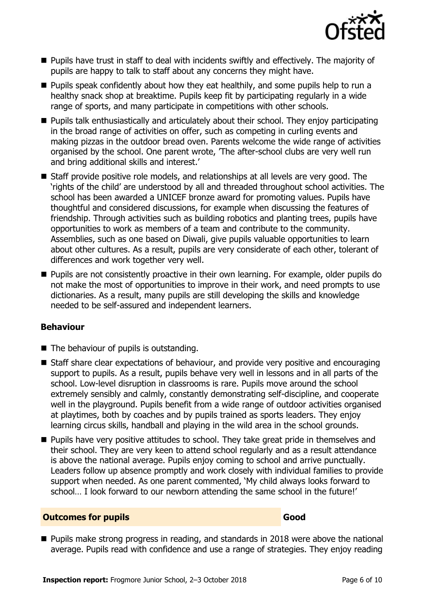

- Pupils have trust in staff to deal with incidents swiftly and effectively. The majority of pupils are happy to talk to staff about any concerns they might have.
- **Pupils speak confidently about how they eat healthily, and some pupils help to run a** healthy snack shop at breaktime. Pupils keep fit by participating regularly in a wide range of sports, and many participate in competitions with other schools.
- **Pupils talk enthusiastically and articulately about their school. They enjoy participating** in the broad range of activities on offer, such as competing in curling events and making pizzas in the outdoor bread oven. Parents welcome the wide range of activities organised by the school. One parent wrote, 'The after-school clubs are very well run and bring additional skills and interest.'
- Staff provide positive role models, and relationships at all levels are very good. The 'rights of the child' are understood by all and threaded throughout school activities. The school has been awarded a UNICEF bronze award for promoting values. Pupils have thoughtful and considered discussions, for example when discussing the features of friendship. Through activities such as building robotics and planting trees, pupils have opportunities to work as members of a team and contribute to the community. Assemblies, such as one based on Diwali, give pupils valuable opportunities to learn about other cultures. As a result, pupils are very considerate of each other, tolerant of differences and work together very well.
- **Pupils are not consistently proactive in their own learning. For example, older pupils do** not make the most of opportunities to improve in their work, and need prompts to use dictionaries. As a result, many pupils are still developing the skills and knowledge needed to be self-assured and independent learners.

#### **Behaviour**

- $\blacksquare$  The behaviour of pupils is outstanding.
- Staff share clear expectations of behaviour, and provide very positive and encouraging support to pupils. As a result, pupils behave very well in lessons and in all parts of the school. Low-level disruption in classrooms is rare. Pupils move around the school extremely sensibly and calmly, constantly demonstrating self-discipline, and cooperate well in the playground. Pupils benefit from a wide range of outdoor activities organised at playtimes, both by coaches and by pupils trained as sports leaders. They enjoy learning circus skills, handball and playing in the wild area in the school grounds.
- **Pupils have very positive attitudes to school. They take great pride in themselves and** their school. They are very keen to attend school regularly and as a result attendance is above the national average. Pupils enjoy coming to school and arrive punctually. Leaders follow up absence promptly and work closely with individual families to provide support when needed. As one parent commented, 'My child always looks forward to school… I look forward to our newborn attending the same school in the future!'

#### **Outcomes for pupils Good**

**Pupils make strong progress in reading, and standards in 2018 were above the national** average. Pupils read with confidence and use a range of strategies. They enjoy reading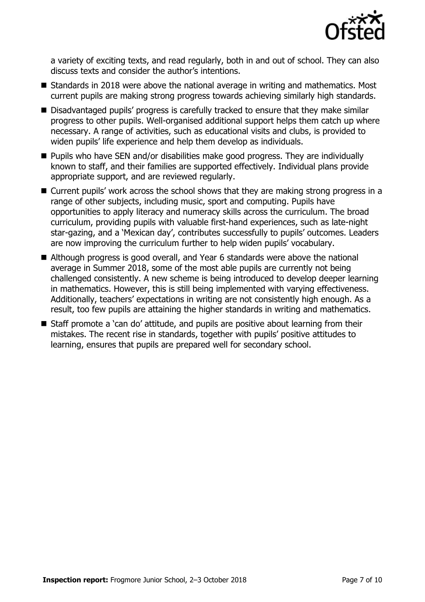

a variety of exciting texts, and read regularly, both in and out of school. They can also discuss texts and consider the author's intentions.

- Standards in 2018 were above the national average in writing and mathematics. Most current pupils are making strong progress towards achieving similarly high standards.
- Disadvantaged pupils' progress is carefully tracked to ensure that they make similar progress to other pupils. Well-organised additional support helps them catch up where necessary. A range of activities, such as educational visits and clubs, is provided to widen pupils' life experience and help them develop as individuals.
- **Pupils who have SEN and/or disabilities make good progress. They are individually** known to staff, and their families are supported effectively. Individual plans provide appropriate support, and are reviewed regularly.
- Current pupils' work across the school shows that they are making strong progress in a range of other subjects, including music, sport and computing. Pupils have opportunities to apply literacy and numeracy skills across the curriculum. The broad curriculum, providing pupils with valuable first-hand experiences, such as late-night star-gazing, and a 'Mexican day', contributes successfully to pupils' outcomes. Leaders are now improving the curriculum further to help widen pupils' vocabulary.
- Although progress is good overall, and Year 6 standards were above the national average in Summer 2018, some of the most able pupils are currently not being challenged consistently. A new scheme is being introduced to develop deeper learning in mathematics. However, this is still being implemented with varying effectiveness. Additionally, teachers' expectations in writing are not consistently high enough. As a result, too few pupils are attaining the higher standards in writing and mathematics.
- Staff promote a 'can do' attitude, and pupils are positive about learning from their mistakes. The recent rise in standards, together with pupils' positive attitudes to learning, ensures that pupils are prepared well for secondary school.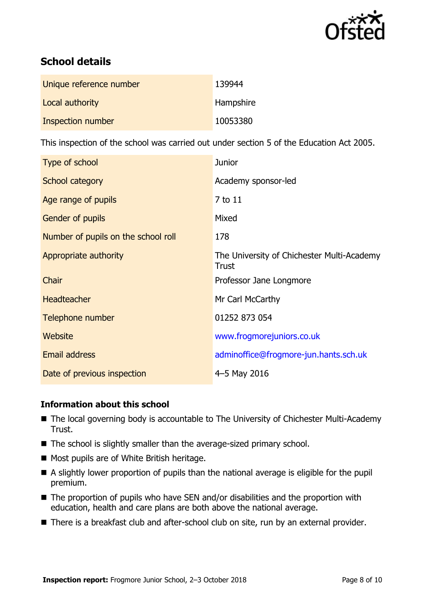

# **School details**

| Unique reference number | 139944    |
|-------------------------|-----------|
| Local authority         | Hampshire |
| Inspection number       | 10053380  |

This inspection of the school was carried out under section 5 of the Education Act 2005.

| Type of school                      | <b>Junior</b>                                              |
|-------------------------------------|------------------------------------------------------------|
| School category                     | Academy sponsor-led                                        |
| Age range of pupils                 | 7 to 11                                                    |
| <b>Gender of pupils</b>             | Mixed                                                      |
| Number of pupils on the school roll | 178                                                        |
| Appropriate authority               | The University of Chichester Multi-Academy<br><b>Trust</b> |
| Chair                               | Professor Jane Longmore                                    |
| <b>Headteacher</b>                  | Mr Carl McCarthy                                           |
| Telephone number                    | 01252 873 054                                              |
| Website                             | www.frogmorejuniors.co.uk                                  |
| Email address                       | adminoffice@frogmore-jun.hants.sch.uk                      |
| Date of previous inspection         | 4-5 May 2016                                               |

#### **Information about this school**

- The local governing body is accountable to The University of Chichester Multi-Academy Trust.
- The school is slightly smaller than the average-sized primary school.
- Most pupils are of White British heritage.
- A slightly lower proportion of pupils than the national average is eligible for the pupil premium.
- The proportion of pupils who have SEN and/or disabilities and the proportion with education, health and care plans are both above the national average.
- There is a breakfast club and after-school club on site, run by an external provider.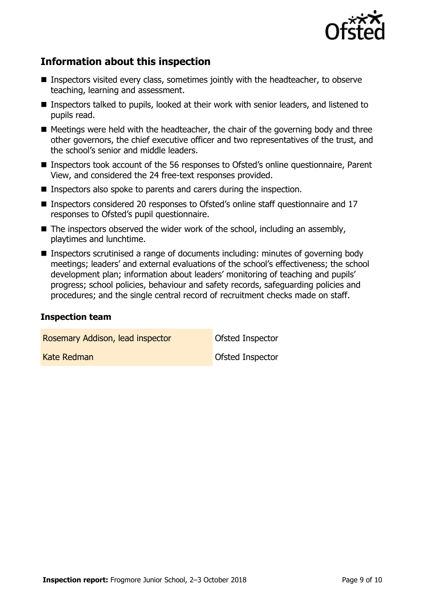

## **Information about this inspection**

- Inspectors visited every class, sometimes jointly with the headteacher, to observe teaching, learning and assessment.
- Inspectors talked to pupils, looked at their work with senior leaders, and listened to pupils read.
- $\blacksquare$  Meetings were held with the headteacher, the chair of the governing body and three other governors, the chief executive officer and two representatives of the trust, and the school's senior and middle leaders.
- Inspectors took account of the 56 responses to Ofsted's online questionnaire, Parent View, and considered the 24 free-text responses provided.
- Inspectors also spoke to parents and carers during the inspection.
- Inspectors considered 20 responses to Ofsted's online staff questionnaire and 17 responses to Ofsted's pupil questionnaire.
- $\blacksquare$  The inspectors observed the wider work of the school, including an assembly, playtimes and lunchtime.
- Inspectors scrutinised a range of documents including: minutes of governing body meetings; leaders' and external evaluations of the school's effectiveness; the school development plan; information about leaders' monitoring of teaching and pupils' progress; school policies, behaviour and safety records, safeguarding policies and procedures; and the single central record of recruitment checks made on staff.

#### **Inspection team**

Rosemary Addison, lead inspector **Conservation** Ofsted Inspector

Kate Redman **Construction Construction** Construction **Construction**